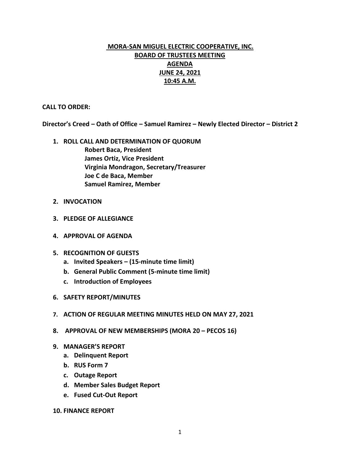# **MORA-SAN MIGUEL ELECTRIC COOPERATIVE, INC. BOARD OF TRUSTEES MEETING AGENDA JUNE 24, 2021 10:45 A.M.**

## **CALL TO ORDER:**

**Director's Creed – Oath of Office – Samuel Ramirez – Newly Elected Director – District 2** 

- **1. ROLL CALL AND DETERMINATION OF QUORUM Robert Baca, President James Ortiz, Vice President Virginia Mondragon, Secretary/Treasurer Joe C de Baca, Member Samuel Ramirez, Member**
- **2. INVOCATION**
- **3. PLEDGE OF ALLEGIANCE**
- **4. APPROVAL OF AGENDA**
- **5. RECOGNITION OF GUESTS**
	- **a. Invited Speakers – (15-minute time limit)**
	- **b. General Public Comment (5-minute time limit)**
	- **c. Introduction of Employees**
- **6. SAFETY REPORT/MINUTES**
- **7. ACTION OF REGULAR MEETING MINUTES HELD ON MAY 27, 2021**
- **8. APPROVAL OF NEW MEMBERSHIPS (MORA 20 – PECOS 16)**
- **9. MANAGER'S REPORT**
	- **a. Delinquent Report**
	- **b. RUS Form 7**
	- **c. Outage Report**
	- **d. Member Sales Budget Report**
	- **e. Fused Cut-Out Report**
- **10. FINANCE REPORT**